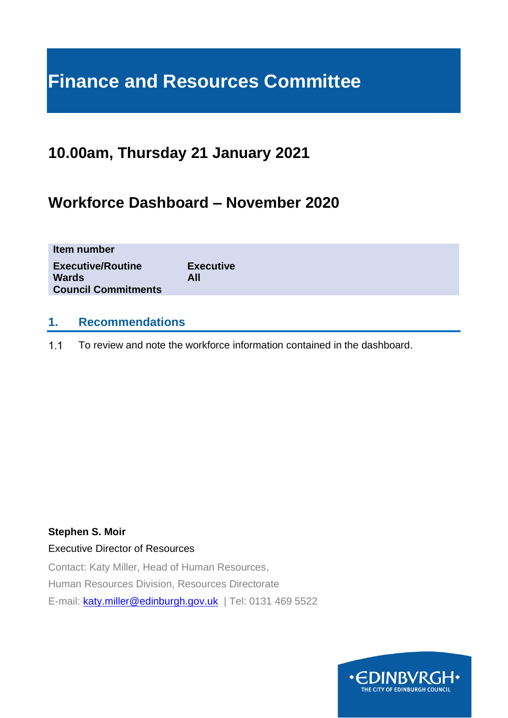# **Finance and Resources Committee**

## **10.00am, Thursday 21 January 2021**

## **Workforce Dashboard – November 2020**

| Item number                                                            |                         |  |  |
|------------------------------------------------------------------------|-------------------------|--|--|
| <b>Executive/Routine</b><br><b>Wards</b><br><b>Council Commitments</b> | <b>Executive</b><br>All |  |  |
|                                                                        |                         |  |  |

## **1. Recommendations**

 $1.1$ To review and note the workforce information contained in the dashboard.

### **Stephen S. Moir**

### Executive Director of Resources

Contact: Katy Miller, Head of Human Resources, Human Resources Division, Resources Directorate E-mail: [katy.miller@edinburgh.gov.uk](mailto:katy.miller@edinburgh.gov.uk) | Tel: 0131 469 5522

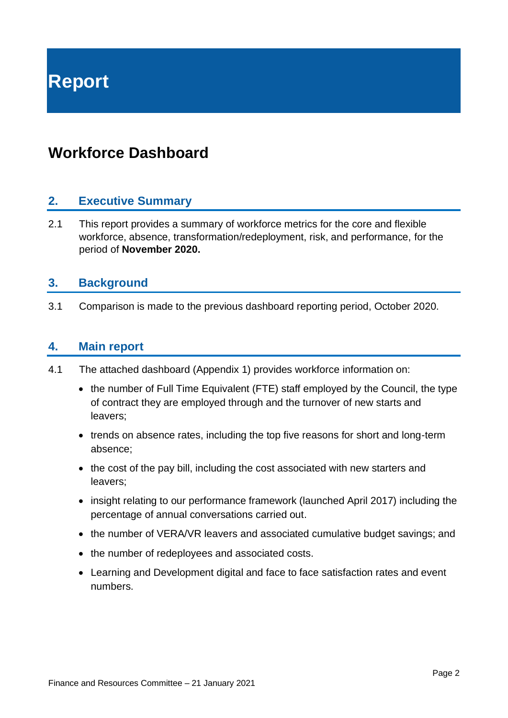**Report**

## **Workforce Dashboard**

### **2. Executive Summary**

2.1 This report provides a summary of workforce metrics for the core and flexible workforce, absence, transformation/redeployment, risk, and performance, for the period of **November 2020.**

### **3. Background**

3.1 Comparison is made to the previous dashboard reporting period, October 2020.

### **4. Main report**

- 4.1 The attached dashboard (Appendix 1) provides workforce information on:
	- the number of Full Time Equivalent (FTE) staff employed by the Council, the type of contract they are employed through and the turnover of new starts and leavers;
	- trends on absence rates, including the top five reasons for short and long-term absence;
	- the cost of the pay bill, including the cost associated with new starters and leavers;
	- insight relating to our performance framework (launched April 2017) including the percentage of annual conversations carried out.
	- the number of VERA/VR leavers and associated cumulative budget savings; and
	- the number of redeployees and associated costs.
	- Learning and Development digital and face to face satisfaction rates and event numbers.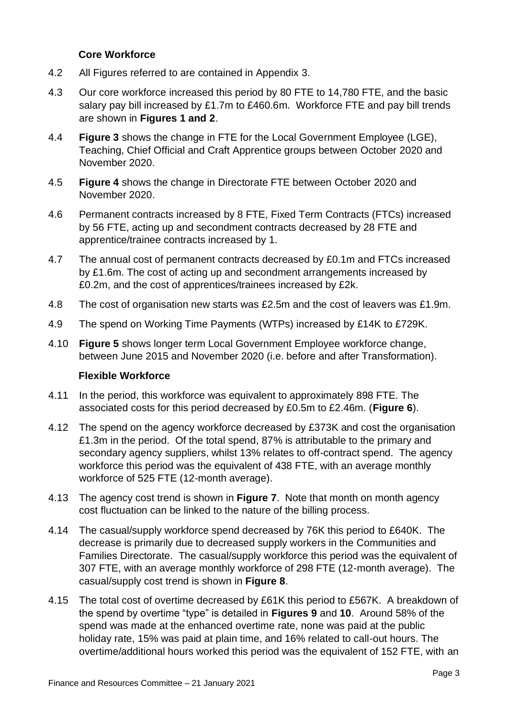### **Core Workforce**

- 4.2 All Figures referred to are contained in Appendix 3.
- 4.3 Our core workforce increased this period by 80 FTE to 14,780 FTE, and the basic salary pay bill increased by £1.7m to £460.6m. Workforce FTE and pay bill trends are shown in **Figures 1 and 2**.
- 4.4 **Figure 3** shows the change in FTE for the Local Government Employee (LGE), Teaching, Chief Official and Craft Apprentice groups between October 2020 and November 2020.
- 4.5 **Figure 4** shows the change in Directorate FTE between October 2020 and November 2020.
- 4.6 Permanent contracts increased by 8 FTE, Fixed Term Contracts (FTCs) increased by 56 FTE, acting up and secondment contracts decreased by 28 FTE and apprentice/trainee contracts increased by 1.
- 4.7 The annual cost of permanent contracts decreased by £0.1m and FTCs increased by £1.6m. The cost of acting up and secondment arrangements increased by £0.2m, and the cost of apprentices/trainees increased by £2k.
- 4.8 The cost of organisation new starts was £2.5m and the cost of leavers was £1.9m.
- 4.9 The spend on Working Time Payments (WTPs) increased by £14K to £729K.
- 4.10 **Figure 5** shows longer term Local Government Employee workforce change, between June 2015 and November 2020 (i.e. before and after Transformation).

### **Flexible Workforce**

- 4.11 In the period, this workforce was equivalent to approximately 898 FTE. The associated costs for this period decreased by £0.5m to £2.46m. (**Figure 6**).
- 4.12 The spend on the agency workforce decreased by £373K and cost the organisation £1.3m in the period. Of the total spend, 87% is attributable to the primary and secondary agency suppliers, whilst 13% relates to off-contract spend. The agency workforce this period was the equivalent of 438 FTE, with an average monthly workforce of 525 FTE (12-month average).
- 4.13 The agency cost trend is shown in **Figure 7**. Note that month on month agency cost fluctuation can be linked to the nature of the billing process.
- 4.14 The casual/supply workforce spend decreased by 76K this period to £640K. The decrease is primarily due to decreased supply workers in the Communities and Families Directorate. The casual/supply workforce this period was the equivalent of 307 FTE, with an average monthly workforce of 298 FTE (12-month average). The casual/supply cost trend is shown in **Figure 8**.
- 4.15 The total cost of overtime decreased by £61K this period to £567K. A breakdown of the spend by overtime "type" is detailed in **Figures 9** and **10**. Around 58% of the spend was made at the enhanced overtime rate, none was paid at the public holiday rate, 15% was paid at plain time, and 16% related to call-out hours. The overtime/additional hours worked this period was the equivalent of 152 FTE, with an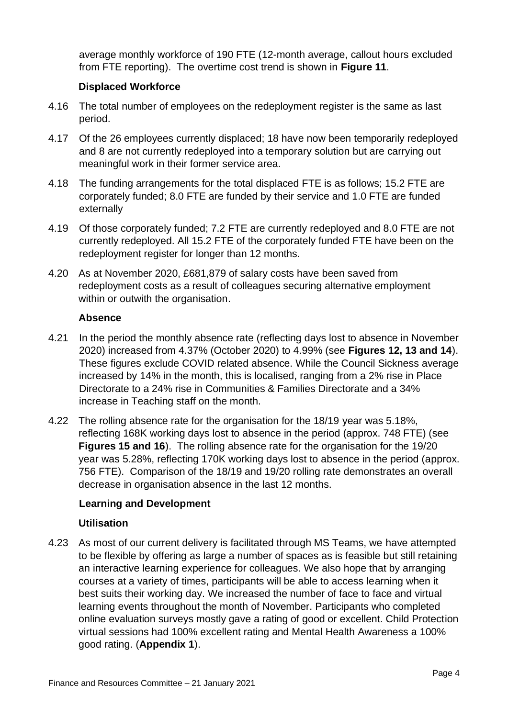average monthly workforce of 190 FTE (12-month average, callout hours excluded from FTE reporting). The overtime cost trend is shown in **Figure 11**.

### **Displaced Workforce**

- 4.16 The total number of employees on the redeployment register is the same as last period.
- 4.17 Of the 26 employees currently displaced; 18 have now been temporarily redeployed and 8 are not currently redeployed into a temporary solution but are carrying out meaningful work in their former service area.
- 4.18 The funding arrangements for the total displaced FTE is as follows; 15.2 FTE are corporately funded; 8.0 FTE are funded by their service and 1.0 FTE are funded externally
- 4.19 Of those corporately funded; 7.2 FTE are currently redeployed and 8.0 FTE are not currently redeployed. All 15.2 FTE of the corporately funded FTE have been on the redeployment register for longer than 12 months.
- 4.20 As at November 2020, £681,879 of salary costs have been saved from redeployment costs as a result of colleagues securing alternative employment within or outwith the organisation.

### **Absence**

- 4.21 In the period the monthly absence rate (reflecting days lost to absence in November 2020) increased from 4.37% (October 2020) to 4.99% (see **Figures 12, 13 and 14**). These figures exclude COVID related absence. While the Council Sickness average increased by 14% in the month, this is localised, ranging from a 2% rise in Place Directorate to a 24% rise in Communities & Families Directorate and a 34% increase in Teaching staff on the month.
- 4.22 The rolling absence rate for the organisation for the 18/19 year was 5.18%, reflecting 168K working days lost to absence in the period (approx. 748 FTE) (see **Figures 15 and 16**). The rolling absence rate for the organisation for the 19/20 year was 5.28%, reflecting 170K working days lost to absence in the period (approx. 756 FTE). Comparison of the 18/19 and 19/20 rolling rate demonstrates an overall decrease in organisation absence in the last 12 months.

### **Learning and Development**

### **Utilisation**

4.23 As most of our current delivery is facilitated through MS Teams, we have attempted to be flexible by offering as large a number of spaces as is feasible but still retaining an interactive learning experience for colleagues. We also hope that by arranging courses at a variety of times, participants will be able to access learning when it best suits their working day. We increased the number of face to face and virtual learning events throughout the month of November. Participants who completed online evaluation surveys mostly gave a rating of good or excellent. Child Protection virtual sessions had 100% excellent rating and Mental Health Awareness a 100% good rating. (**Appendix 1**).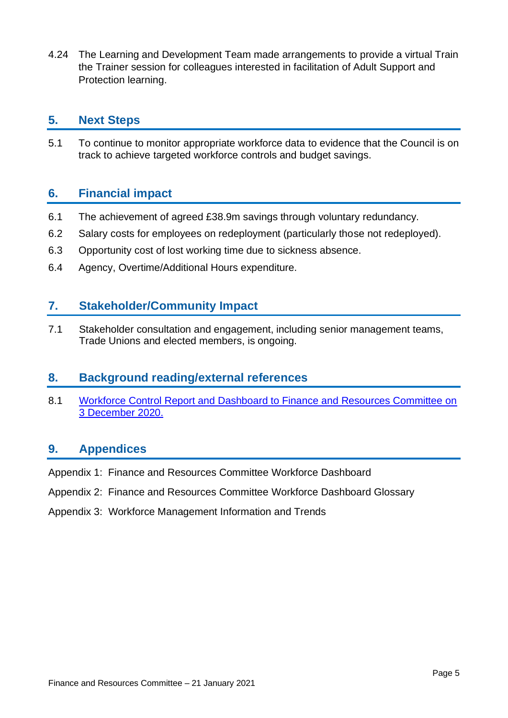4.24 The Learning and Development Team made arrangements to provide a virtual Train the Trainer session for colleagues interested in facilitation of Adult Support and Protection learning.

### **5. Next Steps**

5.1 To continue to monitor appropriate workforce data to evidence that the Council is on track to achieve targeted workforce controls and budget savings.

## **6. Financial impact**

- 6.1 The achievement of agreed £38.9m savings through voluntary redundancy.
- 6.2 Salary costs for employees on redeployment (particularly those not redeployed).
- 6.3 Opportunity cost of lost working time due to sickness absence.
- 6.4 Agency, Overtime/Additional Hours expenditure.

### **7. Stakeholder/Community Impact**

7.1 Stakeholder consultation and engagement, including senior management teams, Trade Unions and elected members, is ongoing.

### **8. Background reading/external references**

8.1 [Workforce Control Report and Dashboard to Finance and Resources Committee on](https://democracy.edinburgh.gov.uk/documents/s29453/7.7%20-%20Workforce%20Dashboard%20September%202020.pdf)  3 [December](https://democracy.edinburgh.gov.uk/documents/s29453/7.7%20-%20Workforce%20Dashboard%20September%202020.pdf) 2020.

## **9. Appendices**

- Appendix 1: Finance and Resources Committee Workforce Dashboard
- Appendix 2: Finance and Resources Committee Workforce Dashboard Glossary
- Appendix 3: Workforce Management Information and Trends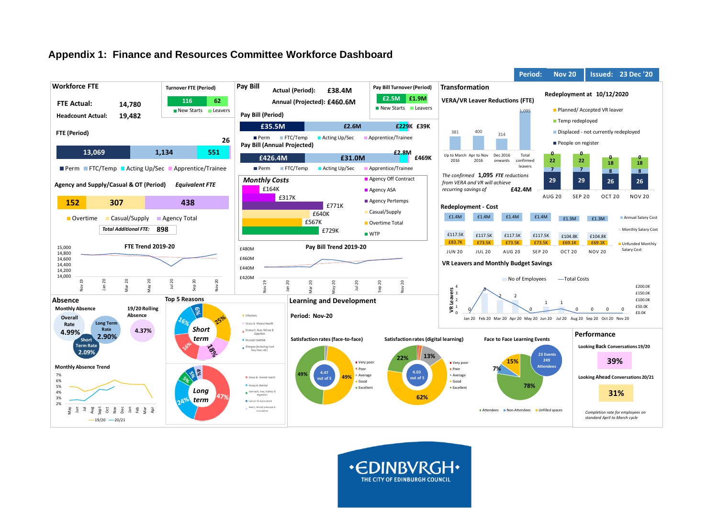### **Appendix 1: Finance and Resources Committee Workforce Dashboard**



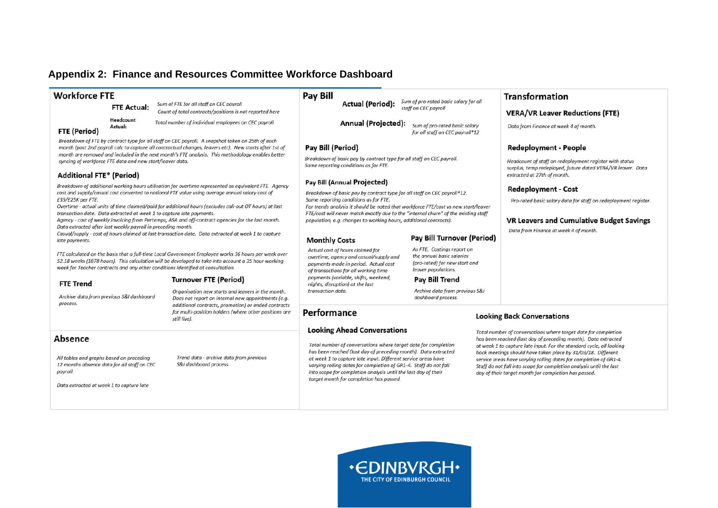### **Appendix 2: Finance and Resources Committee Workforce Dashboard**

#### **Workforce FTF**

**FTE Actual:** 

Actual-

Sum of FTF for all staff on CFC payroll Count of total contracts/positions is not reported here

Headcount Total number of individual employees on CEC payroll

#### **FTE (Period)**

Breakdown of FTE by contract type for all staff on CEC payroll. A snapshot taken on 25th of each month (post 2nd payroll calc to capture all contractual changes, leavers etc). New starts after 1st of month are removed and included in the next month's FTF analysis. This methodology enables better syncing of workforce FTE data and new start/leaver data.

#### **Additional FTE\* (Period)**

Breakdown of additional working hours utilisation for overtime represented as equivalent FTE. Agency cost and supply/casual cost converted to notional FTE value using average annual salary cost of £35/£25K per FTE.

Overtime - actual units of time claimed/paid for additional hours (excludes call-out OT hours) at last transaction date. Data extracted at week 1 to capture late payments.

Agency - cost of weekly invoicing from Pertemps, ASA and off-contract agencies for the last month. Data extracted after last weekly payroll in preceding month.

Casual/supply - cost of hours claimed at last transaction date. Data extracted at week 1 to capture late payments.

FTE calculated on the basis that a full-time Local Government Employee works 36 hours per week over 52.18 weeks (1878 hours). This calculation will be developed to take into account a 35 hour working week for Teacher contracts and any other conditions identified at consultation.

#### **FTE Trend**

Archive data from previous S&I dashboard process

Organisation new starts and leavers in the month. Does not report on internal new appointments (e.g. additional contracts, promotion) or ended contracts for multi-position holders (where other positions are still live).

Trend data - archive data from previous

S&I dashboard process.

**Turnover FTE (Period)** 

#### Absence

All tables and graphs based on preceding 12 months absence data for all staff on CEC payroll.

Data extracted at week 1 to capture late

#### **Pav Bill**

Sum of pro-rated basic salary for all **Actual (Period):** staff on CEC payroll

Annual (Projected): Sum of pro-rated basic salary for all staff on CEC payroll\*12

#### **Pav Bill (Period)**

Breakdown of basic pay by contract type for all staff on CEC payroll. Same reporting conditions as for FTE.

#### Pay Bill (Annual Projected)

Breakdown of basic pay by contract type for all staff on CEC payroll\*12. Same reporting conditions as for FTE.

For trends analysis it should be noted that workforce FTE/cost vs new start/leaver FTE/cost will never match exactly due to the "internal churn" of the existing staff population, e.g. changes to working hours, additional contracts).

#### **Monthly Costs**

#### Pay Bill Turnover (Period)

As FTE. Costings report on Actual cost of hours claimed for the annual basic salaries overtime, agency and casual/supply and (pro-rated) for new start and payments made in period. Actual cost leaver populations. of transactions for all working time

#### **Pav Bill Trend**

Archive data from previous S&I dashboard process.

### Performance

#### **Looking Ahead Conversations**

Total number of conversations where target date for completion has been reached (last day of preceding month). Data extracted at week 1 to capture late input. Different service areas have varying rolling dates for completion of GR1-4. Staff do not fall into scope for completion analysis until the last day of their target month for completion has passed.

#### Transformation

#### **VERA/VR Leaver Reductions (FTE)**

Data from Finance at week 4 of month.

#### **Redeployment - People**

Headcount of staff on redeployment reaister with status surplus, temp redeployed, future dated VERA/VR leaver. Data extracted at 27th of month.

#### **Redeployment - Cost**

Pro-rated basic salary data for staff on redeployment register.

#### **VR Leavers and Cumulative Budget Savings**

Data from Finance at week 4 of month.

#### **Looking Back Conversations**

Total number of conversations where target date for completion has been reached (last day of preceding month). Data extracted at week 1 to capture late input. For the standard cycle, all looking back meetings should have taken place by 31/03/18. Different service areas have varying rolling dates for completion of GR1-4. Staff do not fall into scope for completion analysis until the last day of their target month for completion has passed.



#### payments (variable, shifts, weekend, nights, disruption) at the last transaction date.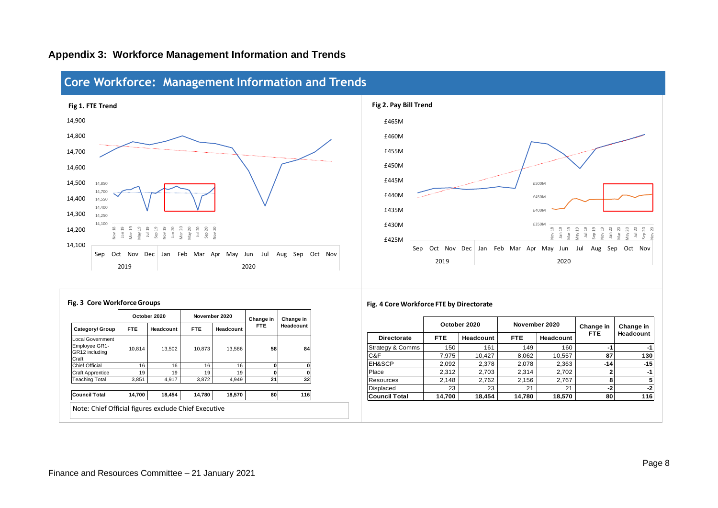

### **Appendix 3: Workforce Management Information and Trends**



|                                                              | October 2020 |           |            | November 2020 | Change in  | Change in |  |
|--------------------------------------------------------------|--------------|-----------|------------|---------------|------------|-----------|--|
| Category/ Group                                              | <b>FTE</b>   | Headcount | <b>FTE</b> | Headcount     | <b>FTE</b> | Headcount |  |
| Local Government<br>Employee GR1-<br>GR12 including<br>Craft | 10.814       | 13.502    | 10.873     | 13.586        | 58         | 84        |  |
| <b>Chief Official</b>                                        | 16           | 16        | 16         | 16            | 0          | 0         |  |
| <b>Craft Apprentice</b>                                      | 19           | 19        | 19         | 19            | 0          | 0         |  |
| <b>Teaching Total</b>                                        | 3.851        | 4,917     | 3.872      | 4.949         | 21         | 32        |  |
|                                                              |              |           |            |               |            |           |  |
| <b>Council Total</b>                                         | 14,700       | 18,454    | 14.780     | 18,570        | 80         | 116       |  |
| Note: Chief Official figures exclude Chief Executive         |              |           |            |               |            |           |  |

### **Fig. 3 Core Workforce Groups Fig. 4 Core Workforce FTE by Directorate**

|                             |        | October 2020 |            | November 2020 | Change in  | Change in<br>Headcount |  |
|-----------------------------|--------|--------------|------------|---------------|------------|------------------------|--|
| <b>Directorate</b>          | FTE.   | Headcount    | <b>FTE</b> | Headcount     | <b>FTE</b> |                        |  |
| <b>Strategy &amp; Comms</b> | 150    | 161          | 149        | 160           | -1         | -1                     |  |
| C&F                         | 7.975  | 10.427       | 8.062      | 10,557        | 87         | 130                    |  |
| <b>EH&amp;SCP</b>           | 2,092  | 2,378        | 2,078      | 2,363         | $-14$      | $-15$                  |  |
| Place                       | 2.312  | 2,703        | 2.314      | 2,702         |            | -1                     |  |
| <b>Resources</b>            | 2.148  | 2,762        | 2,156      | 2,767         |            |                        |  |
| <b>Displaced</b>            | 23     | 23           | 21         | 21            | -2         | -2                     |  |
| <b>Council Total</b>        | 14,700 | 18,454       | 14,780     | 18,570        | 80         | 116                    |  |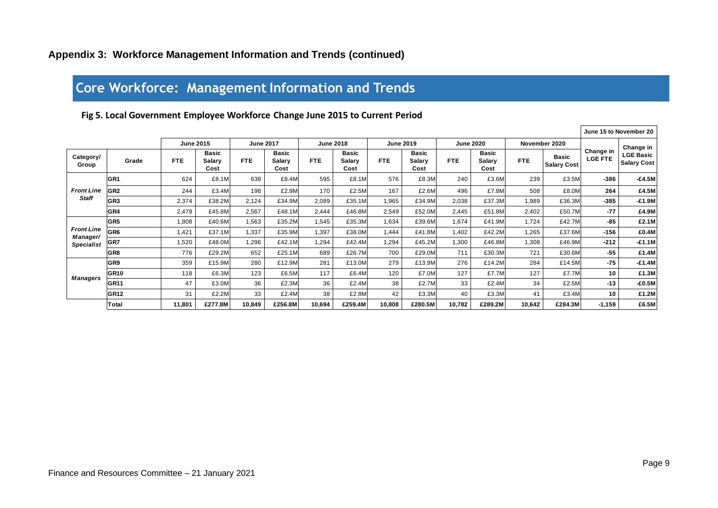## **Core Workforce: Management Information and Trends**

### **Fig 5. Local Government Employee Workforce Change June 2015 to Current Period**

|                               |                  |                  |                                |                  |                                |                  |                                       |                  |                                       |                  |                                |               |                                    |                             | June 15 to November 20                              |
|-------------------------------|------------------|------------------|--------------------------------|------------------|--------------------------------|------------------|---------------------------------------|------------------|---------------------------------------|------------------|--------------------------------|---------------|------------------------------------|-----------------------------|-----------------------------------------------------|
|                               |                  | <b>June 2015</b> |                                | <b>June 2017</b> |                                | <b>June 2018</b> |                                       | <b>June 2019</b> |                                       | <b>June 2020</b> |                                | November 2020 |                                    |                             |                                                     |
| Category/<br>Group            | Grade            | <b>FTE</b>       | <b>Basic</b><br>Salary<br>Cost | <b>FTE</b>       | <b>Basic</b><br>Salarv<br>Cost | FTE.             | <b>Basic</b><br><b>Salarv</b><br>Cost | FTE.             | <b>Basic</b><br><b>Salarv</b><br>Cost | <b>FTE</b>       | <b>Basic</b><br>Salary<br>Cost | <b>FTE</b>    | <b>Basic</b><br><b>Salary Cost</b> | Change in<br><b>LGE FTE</b> | Change in<br><b>LGE Basic</b><br><b>Salary Cost</b> |
|                               | GR1              | 624              | £8.1M                          | 638              | £8.4M                          | 595              | £8.1M                                 | 576              | £8.3M                                 | 240              | £3.6M                          | 239           | £3.5M                              | $-386$                      | $-£4.5M$                                            |
| <b>Front Line</b>             | GR <sub>2</sub>  | 244              | £3.4M                          | 198              | £2.9M                          | 170              | £2.5M                                 | 167              | £2.6M                                 | 496              | £7.8M                          | 508           | £8.0M                              | 264                         | £4.5M                                               |
| <b>Staff</b>                  | GR <sub>3</sub>  | 2,374            | £38.2M                         | 2,124            | £34.9M                         | 2,089            | £35.1M                                | 1,965            | £34.9M                                | 2,038            | £37.3M                         | 1,989         | £36.3M                             | $-385$                      | $-£1.9M$                                            |
|                               | GR4              | 2,479            | £45.8M                         | 2,567            | £48.1M                         | 2,444            | £46.8M                                | 2,549            | £52.0M                                | 2,445            | £51.8M                         | 2,402         | £50.7M                             | $-77$                       | £4.9M                                               |
|                               | GR <sub>5</sub>  | 1,808            | £40.6M                         | 1,563            | £35.2M                         | 1,545            | £35.3M                                | 1,634            | £39.6M                                | 1,674            | £41.9M                         | 1,724         | £42.7M                             | $-85$                       | £2.1M                                               |
| <b>Front Line</b><br>Manager/ | GR <sub>6</sub>  | 1,421            | £37.1M                         | 1,337            | £35.9M                         | 1,397            | £38.0M                                | 1,444            | £41.8M                                | 1,402            | £42.2M                         | 1.265         | £37.6M                             | $-156$                      | £0.4M                                               |
| <b>Specialist</b>             | GR7              | 1,520            | £48.0M                         | 1,296            | £42.1M                         | 1,294            | £42.4M                                | 1,294            | £45.2M                                | 1,300            | £46.8M                         | 1,308         | £46.9M                             | $-212$                      | $-£1.1M$                                            |
|                               | GR8              | 776              | £29.2M                         | 652              | £25.1M                         | 689              | £26.7M                                | 700              | £29.0M                                | 711              | £30.3M                         | 721           | £30.6M                             | $-55$                       | £1.4M                                               |
|                               | GR9              | 359              | £15.9M                         | 280              | £12.9M                         | 281              | £13.0M                                | 279              | £13.9M                                | 276              | £14.2M                         | 284           | £14.5M                             | $-75$                       | $-£1.4M$                                            |
| Managers                      | GR <sub>10</sub> | 118              | £6.3M                          | 123              | £6.5M                          | 117              | £6.4M                                 | 120              | £7.0M                                 | 127              | £7.7M                          | 127           | £7.7M                              | 10                          | £1.3M                                               |
|                               | GR <sub>11</sub> | 47               | £3.0M                          | 36               | £2.3M                          | 36               | £2.4M                                 | 38               | £2.7M                                 | 33               | £2.4M                          | 34            | £2.5M                              | $-13$                       | $-£0.5M$                                            |
|                               | GR <sub>12</sub> | 31               | £2.2M                          | 33               | £2.4M                          | 38               | £2.8M                                 | 42               | £3.3M                                 | 40               | £3.3M                          | 41            | £3.4M                              | 10                          | £1.2M                                               |
|                               | <b>Total</b>     | 11,801           | £277.8M                        | 10,849           | £256.8M                        | 10,694           | £259.4M                               | 10,808           | £280.5M                               | 10,782           | £289.2M                        | 10,642        | £284.3M                            | $-1,159$                    | £6.5M                                               |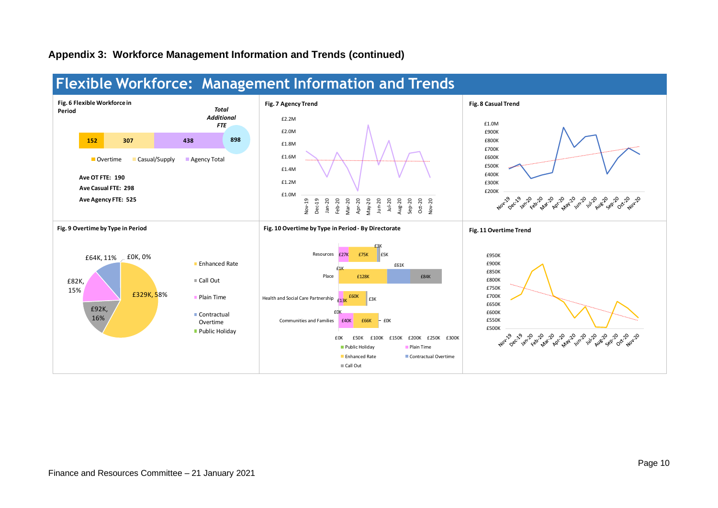### **Appendix 3: Workforce Management Information and Trends (continued)**